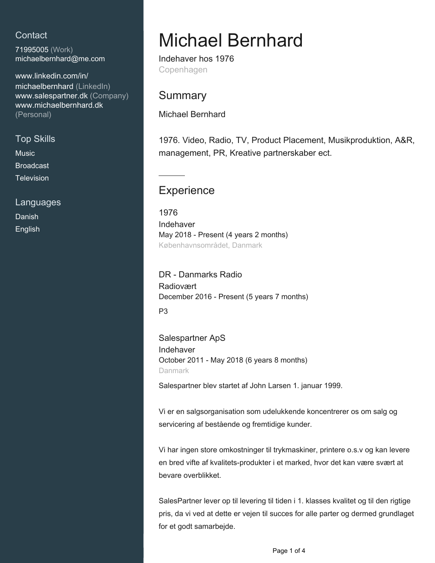## **Contact**

71995005 (Work) [michaelbernhard@me.com](mailto:michaelbernhard@me.com)

[www.linkedin.com/in/](https://www.linkedin.com/in/michaelbernhard?jobid=1234&lipi=urn%3Ali%3Apage%3Ad_jobs_easyapply_pdfgenresume%3BAI9GTkW1Q0CQIgMQXKabyw%3D%3D&licu=urn%3Ali%3Acontrol%3Ad_jobs_easyapply_pdfgenresume-v02_profile) [michaelbernhard \(LinkedIn\)](https://www.linkedin.com/in/michaelbernhard?jobid=1234&lipi=urn%3Ali%3Apage%3Ad_jobs_easyapply_pdfgenresume%3BAI9GTkW1Q0CQIgMQXKabyw%3D%3D&licu=urn%3Ali%3Acontrol%3Ad_jobs_easyapply_pdfgenresume-v02_profile) [www.salespartner.dk \(Company\)](http://www.salespartner.dk) [www.michaelbernhard.dk](http://www.michaelbernhard.dk) [\(Personal\)](http://www.michaelbernhard.dk)

## Top Skills

**Music** 

Broadcast

**Television** 

Languages

Danish English

# Michael Bernhard

Indehaver hos 1976 Copenhagen

## **Summary**

Michael Bernhard

1976. Video, Radio, TV, Product Placement, Musikproduktion, A&R, management, PR, Kreative partnerskaber ect.

# **Experience**

1976 Indehaver May 2018 - Present (4 years 2 months) Københavnsområdet, Danmark

DR - Danmarks Radio Radiovært December 2016 - Present (5 years 7 months)

P3

Salespartner ApS Indehaver October 2011 - May 2018 (6 years 8 months) Danmark

Salespartner blev startet af John Larsen 1. januar 1999.

Vi er en salgsorganisation som udelukkende koncentrerer os om salg og servicering af bestående og fremtidige kunder.

Vi har ingen store omkostninger til trykmaskiner, printere o.s.v og kan levere en bred vifte af kvalitets-produkter i et marked, hvor det kan være svært at bevare overblikket.

SalesPartner lever op til levering til tiden i 1. klasses kvalitet og til den rigtige pris, da vi ved at dette er vejen til succes for alle parter og dermed grundlaget for et godt samarbejde.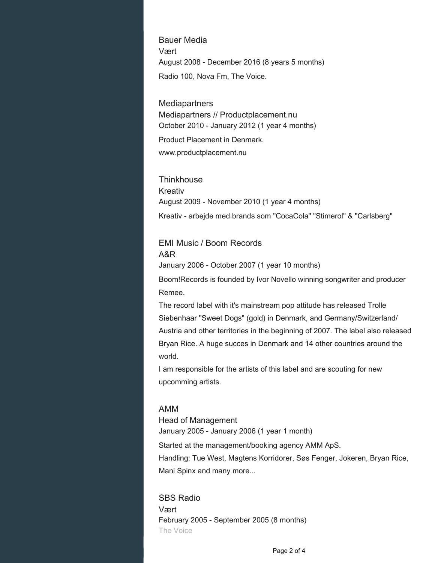Bauer Media Vært August 2008 - December 2016 (8 years 5 months) Radio 100, Nova Fm, The Voice.

**Mediapartners** Mediapartners // Productplacement.nu October 2010 - January 2012 (1 year 4 months)

Product Placement in Denmark. www.productplacement.nu

**Thinkhouse** Kreativ August 2009 - November 2010 (1 year 4 months) Kreativ - arbejde med brands som "CocaCola" "Stimerol" & "Carlsberg"

EMI Music / Boom Records A&R January 2006 - October 2007 (1 year 10 months)

Boom!Records is founded by Ivor Novello winning songwriter and producer Remee.

The record label with it's mainstream pop attitude has released Trolle Siebenhaar "Sweet Dogs" (gold) in Denmark, and Germany/Switzerland/ Austria and other territories in the beginning of 2007. The label also released Bryan Rice. A huge succes in Denmark and 14 other countries around the world.

I am responsible for the artists of this label and are scouting for new upcomming artists.

#### AMM

Head of Management January 2005 - January 2006 (1 year 1 month)

Started at the management/booking agency AMM ApS. Handling: Tue West, Magtens Korridorer, Søs Fenger, Jokeren, Bryan Rice,

Mani Spinx and many more...

SBS Radio Vært February 2005 - September 2005 (8 months) The Voice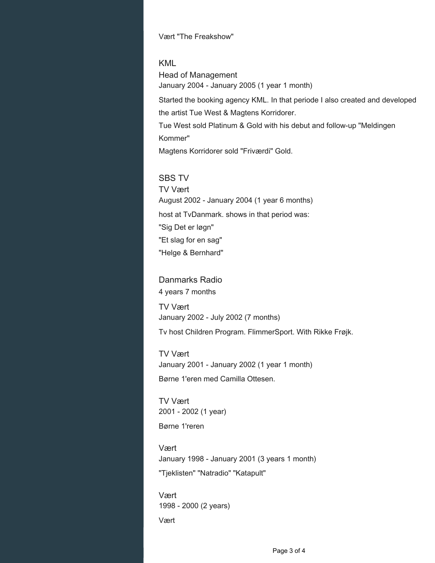Vært "The Freakshow"

#### KML

Head of Management January 2004 - January 2005 (1 year 1 month) Started the booking agency KML. In that periode I also created and developed the artist Tue West & Magtens Korridorer. Tue West sold Platinum & Gold with his debut and follow-up "Meldingen Kommer" Magtens Korridorer sold "Friværdi" Gold.

#### SBS TV

TV Vært August 2002 - January 2004 (1 year 6 months) host at TvDanmark. shows in that period was: "Sig Det er løgn" "Et slag for en sag" "Helge & Bernhard"

### Danmarks Radio 4 years 7 months

TV Vært January 2002 - July 2002 (7 months)

Tv host Children Program. FlimmerSport. With Rikke Frøjk.

TV Vært January 2001 - January 2002 (1 year 1 month) Børne 1'eren med Camilla Ottesen.

TV Vært 2001 - 2002 (1 year)

Børne 1'reren

Vært January 1998 - January 2001 (3 years 1 month) "Tjeklisten" "Natradio" "Katapult"

Vært 1998 - 2000 (2 years)

Vært